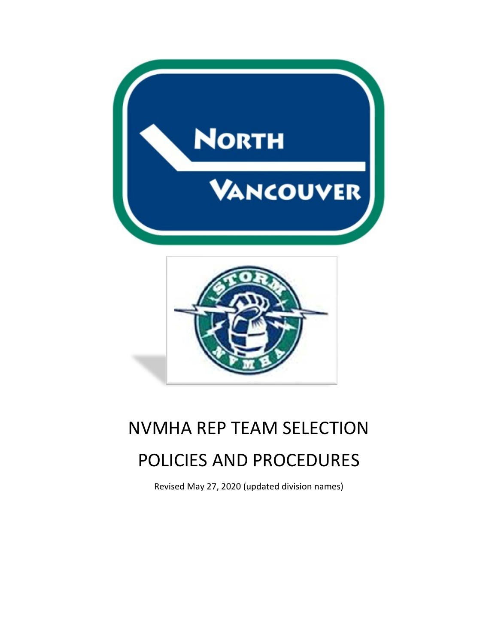



# NVMHA REP TEAM SELECTION POLICIES AND PROCEDURES

Revised May 27, 2020 (updated division names)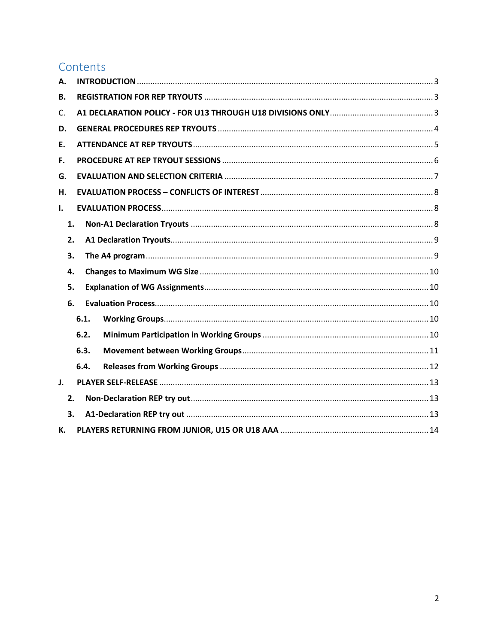# Contents

| Α.             |      |  |  |  |  |
|----------------|------|--|--|--|--|
| В.             |      |  |  |  |  |
| C.             |      |  |  |  |  |
| D.             |      |  |  |  |  |
| Ε.             |      |  |  |  |  |
| F.             |      |  |  |  |  |
| G.             |      |  |  |  |  |
| Н.             |      |  |  |  |  |
| L.             |      |  |  |  |  |
| 1.             |      |  |  |  |  |
| 2.             |      |  |  |  |  |
| 3.             |      |  |  |  |  |
| 4.             |      |  |  |  |  |
| 5.             |      |  |  |  |  |
| 6.             |      |  |  |  |  |
|                | 6.1. |  |  |  |  |
|                | 6.2. |  |  |  |  |
|                | 6.3. |  |  |  |  |
|                | 6.4. |  |  |  |  |
| $\mathbf{J}$ . |      |  |  |  |  |
| 2.             |      |  |  |  |  |
| 3.             |      |  |  |  |  |
| к.             |      |  |  |  |  |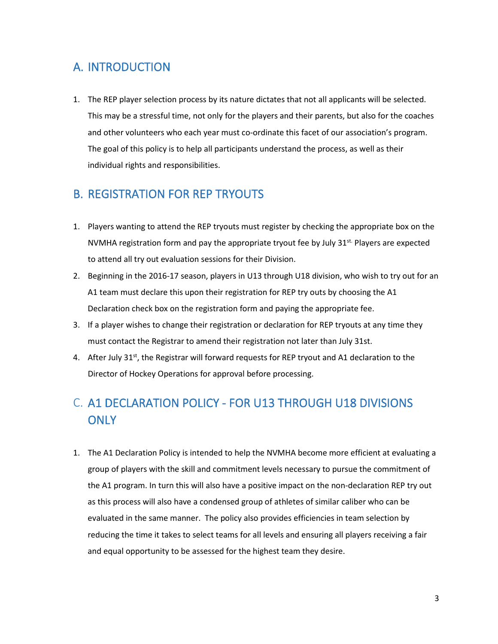# <span id="page-2-0"></span>A. INTRODUCTION

1. The REP player selection process by its nature dictates that not all applicants will be selected. This may be a stressful time, not only for the players and their parents, but also for the coaches and other volunteers who each year must co-ordinate this facet of our association's program. The goal of this policy is to help all participants understand the process, as well as their individual rights and responsibilities.

### <span id="page-2-1"></span>B. REGISTRATION FOR REP TRYOUTS

- 1. Players wanting to attend the REP tryouts must register by checking the appropriate box on the NVMHA registration form and pay the appropriate tryout fee by July 31<sup>st.</sup> Players are expected to attend all try out evaluation sessions for their Division.
- 2. Beginning in the 2016-17 season, players in U13 through U18 division, who wish to try out for an A1 team must declare this upon their registration for REP try outs by choosing the A1 Declaration check box on the registration form and paying the appropriate fee.
- 3. If a player wishes to change their registration or declaration for REP tryouts at any time they must contact the Registrar to amend their registration not later than July 31st.
- 4. After July 31<sup>st</sup>, the Registrar will forward requests for REP tryout and A1 declaration to the Director of Hockey Operations for approval before processing.

# <span id="page-2-2"></span>C. A1 DECLARATION POLICY - FOR U13 THROUGH U18 DIVISIONS **ONLY**

1. The A1 Declaration Policy is intended to help the NVMHA become more efficient at evaluating a group of players with the skill and commitment levels necessary to pursue the commitment of the A1 program. In turn this will also have a positive impact on the non-declaration REP try out as this process will also have a condensed group of athletes of similar caliber who can be evaluated in the same manner. The policy also provides efficiencies in team selection by reducing the time it takes to select teams for all levels and ensuring all players receiving a fair and equal opportunity to be assessed for the highest team they desire.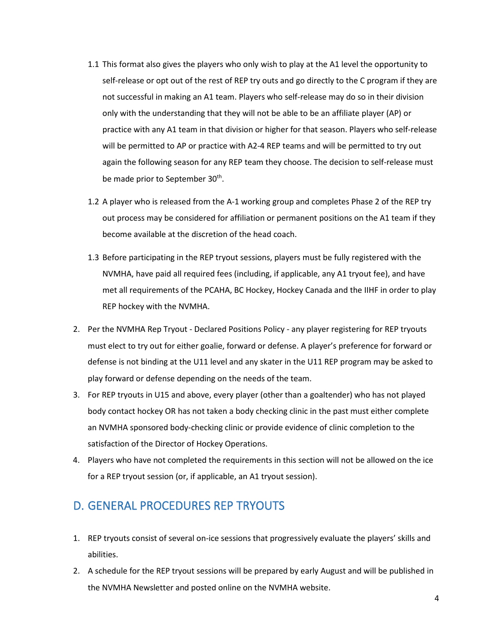- 1.1 This format also gives the players who only wish to play at the A1 level the opportunity to self-release or opt out of the rest of REP try outs and go directly to the C program if they are not successful in making an A1 team. Players who self-release may do so in their division only with the understanding that they will not be able to be an affiliate player (AP) or practice with any A1 team in that division or higher for that season. Players who self-release will be permitted to AP or practice with A2-4 REP teams and will be permitted to try out again the following season for any REP team they choose. The decision to self-release must be made prior to September 30<sup>th</sup>.
- 1.2 A player who is released from the A-1 working group and completes Phase 2 of the REP try out process may be considered for affiliation or permanent positions on the A1 team if they become available at the discretion of the head coach.
- 1.3 Before participating in the REP tryout sessions, players must be fully registered with the NVMHA, have paid all required fees (including, if applicable, any A1 tryout fee), and have met all requirements of the PCAHA, BC Hockey, Hockey Canada and the IIHF in order to play REP hockey with the NVMHA.
- 2. Per the NVMHA Rep Tryout Declared Positions Policy any player registering for REP tryouts must elect to try out for either goalie, forward or defense. A player's preference for forward or defense is not binding at the U11 level and any skater in the U11 REP program may be asked to play forward or defense depending on the needs of the team.
- 3. For REP tryouts in U15 and above, every player (other than a goaltender) who has not played body contact hockey OR has not taken a body checking clinic in the past must either complete an NVMHA sponsored body-checking clinic or provide evidence of clinic completion to the satisfaction of the Director of Hockey Operations.
- 4. Players who have not completed the requirements in this section will not be allowed on the ice for a REP tryout session (or, if applicable, an A1 tryout session).

# <span id="page-3-0"></span>D. GENERAL PROCEDURES REP TRYOUTS

- 1. REP tryouts consist of several on-ice sessions that progressively evaluate the players' skills and abilities.
- 2. A schedule for the REP tryout sessions will be prepared by early August and will be published in the NVMHA Newsletter and posted online on the NVMHA website.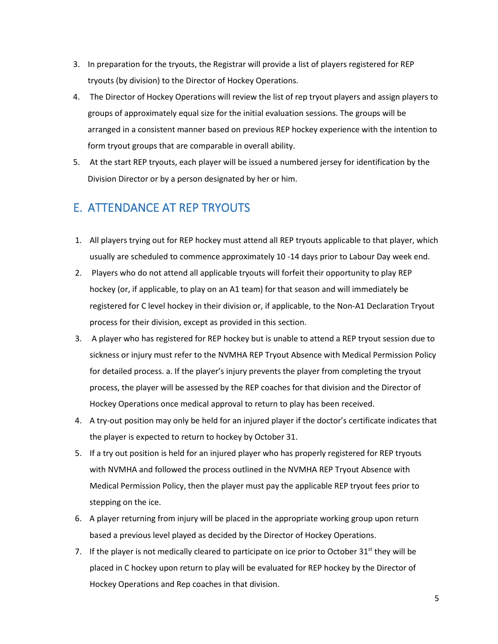- 3. In preparation for the tryouts, the Registrar will provide a list of players registered for REP tryouts (by division) to the Director of Hockey Operations.
- 4. The Director of Hockey Operations will review the list of rep tryout players and assign players to groups of approximately equal size for the initial evaluation sessions. The groups will be arranged in a consistent manner based on previous REP hockey experience with the intention to form tryout groups that are comparable in overall ability.
- 5. At the start REP tryouts, each player will be issued a numbered jersey for identification by the Division Director or by a person designated by her or him.

# <span id="page-4-0"></span>E. ATTENDANCE AT REP TRYOUTS

- 1. All players trying out for REP hockey must attend all REP tryouts applicable to that player, which usually are scheduled to commence approximately 10 -14 days prior to Labour Day week end.
- 2. Players who do not attend all applicable tryouts will forfeit their opportunity to play REP hockey (or, if applicable, to play on an A1 team) for that season and will immediately be registered for C level hockey in their division or, if applicable, to the Non-A1 Declaration Tryout process for their division, except as provided in this section.
- 3. A player who has registered for REP hockey but is unable to attend a REP tryout session due to sickness or injury must refer to the NVMHA REP Tryout Absence with Medical Permission Policy for detailed process. a. If the player's injury prevents the player from completing the tryout process, the player will be assessed by the REP coaches for that division and the Director of Hockey Operations once medical approval to return to play has been received.
- 4. A try-out position may only be held for an injured player if the doctor's certificate indicates that the player is expected to return to hockey by October 31.
- 5. If a try out position is held for an injured player who has properly registered for REP tryouts with NVMHA and followed the process outlined in the NVMHA REP Tryout Absence with Medical Permission Policy, then the player must pay the applicable REP tryout fees prior to stepping on the ice.
- 6. A player returning from injury will be placed in the appropriate working group upon return based a previous level played as decided by the Director of Hockey Operations.
- 7. If the player is not medically cleared to participate on ice prior to October  $31<sup>st</sup>$  they will be placed in C hockey upon return to play will be evaluated for REP hockey by the Director of Hockey Operations and Rep coaches in that division.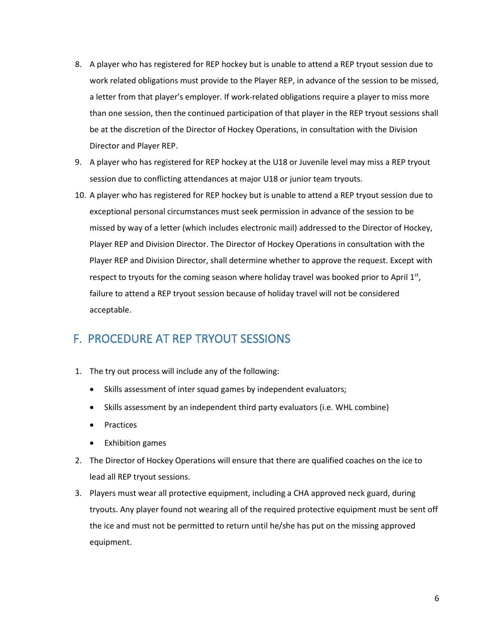- 8. A player who has registered for REP hockey but is unable to attend a REP tryout session due to work related obligations must provide to the Player REP, in advance of the session to be missed, a letter from that player's employer. If work-related obligations require a player to miss more than one session, then the continued participation of that player in the REP tryout sessions shall be at the discretion of the Director of Hockey Operations, in consultation with the Division Director and Player REP.
- 9. A player who has registered for REP hockey at the U18 or Juvenile level may miss a REP tryout session due to conflicting attendances at major U18 or junior team tryouts.
- 10. A player who has registered for REP hockey but is unable to attend a REP tryout session due to exceptional personal circumstances must seek permission in advance of the session to be missed by way of a letter (which includes electronic mail) addressed to the Director of Hockey, Player REP and Division Director. The Director of Hockey Operations in consultation with the Player REP and Division Director, shall determine whether to approve the request. Except with respect to tryouts for the coming season where holiday travel was booked prior to April  $1<sup>st</sup>$ , failure to attend a REP tryout session because of holiday travel will not be considered acceptable.

### <span id="page-5-0"></span>F. PROCEDURE AT REP TRYOUT SESSIONS

- 1. The try out process will include any of the following:
	- Skills assessment of inter squad games by independent evaluators;
	- Skills assessment by an independent third party evaluators (i.e. WHL combine)
	- Practices
	- Exhibition games
- 2. The Director of Hockey Operations will ensure that there are qualified coaches on the ice to lead all REP tryout sessions.
- 3. Players must wear all protective equipment, including a CHA approved neck guard, during tryouts. Any player found not wearing all of the required protective equipment must be sent off the ice and must not be permitted to return until he/she has put on the missing approved equipment.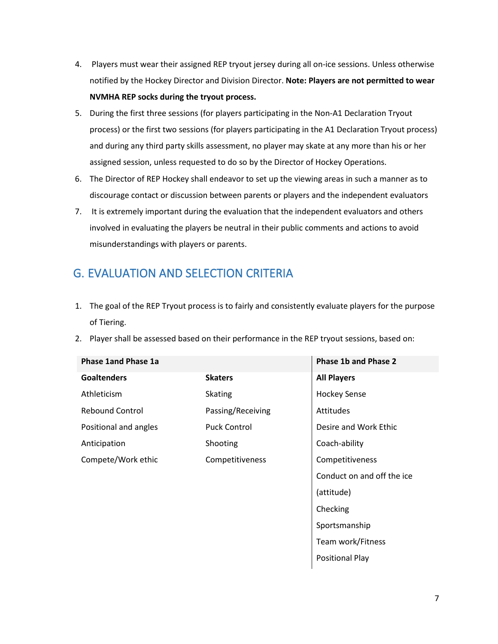- 4. Players must wear their assigned REP tryout jersey during all on-ice sessions. Unless otherwise notified by the Hockey Director and Division Director. **Note: Players are not permitted to wear NVMHA REP socks during the tryout process.**
- 5. During the first three sessions (for players participating in the Non-A1 Declaration Tryout process) or the first two sessions (for players participating in the A1 Declaration Tryout process) and during any third party skills assessment, no player may skate at any more than his or her assigned session, unless requested to do so by the Director of Hockey Operations.
- 6. The Director of REP Hockey shall endeavor to set up the viewing areas in such a manner as to discourage contact or discussion between parents or players and the independent evaluators
- 7. It is extremely important during the evaluation that the independent evaluators and others involved in evaluating the players be neutral in their public comments and actions to avoid misunderstandings with players or parents.

# <span id="page-6-0"></span>G. EVALUATION AND SELECTION CRITERIA

- 1. The goal of the REP Tryout process is to fairly and consistently evaluate players for the purpose of Tiering.
- 2. Player shall be assessed based on their performance in the REP tryout sessions, based on:

| <b>Phase 1and Phase 1a</b> |                     | <b>Phase 1b and Phase 2</b> |
|----------------------------|---------------------|-----------------------------|
| <b>Goaltenders</b>         | <b>Skaters</b>      | <b>All Players</b>          |
| Athleticism                | <b>Skating</b>      | <b>Hockey Sense</b>         |
| <b>Rebound Control</b>     | Passing/Receiving   | Attitudes                   |
| Positional and angles      | <b>Puck Control</b> | Desire and Work Ethic       |
| Anticipation               | Shooting            | Coach-ability               |
| Compete/Work ethic         | Competitiveness     | Competitiveness             |
|                            |                     | Conduct on and off the ice  |
|                            |                     | (attitude)                  |
|                            |                     | Checking                    |

Sportsmanship

Positional Play

Team work/Fitness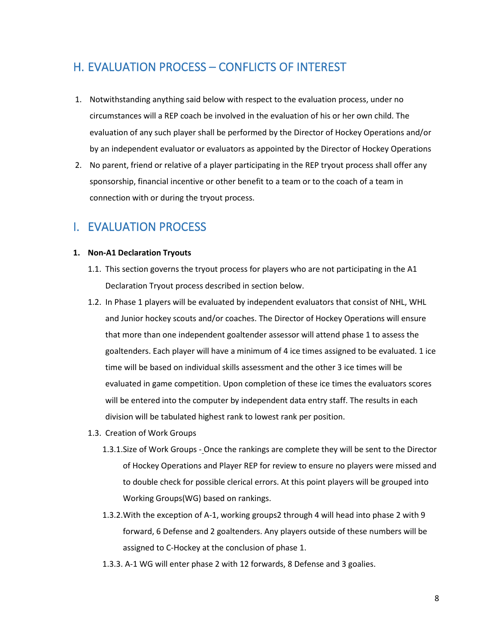# <span id="page-7-0"></span>H. EVALUATION PROCESS – CONFLICTS OF INTEREST

- 1. Notwithstanding anything said below with respect to the evaluation process, under no circumstances will a REP coach be involved in the evaluation of his or her own child. The evaluation of any such player shall be performed by the Director of Hockey Operations and/or by an independent evaluator or evaluators as appointed by the Director of Hockey Operations
- 2. No parent, friend or relative of a player participating in the REP tryout process shall offer any sponsorship, financial incentive or other benefit to a team or to the coach of a team in connection with or during the tryout process.

### <span id="page-7-1"></span>I. EVALUATION PROCESS

#### <span id="page-7-2"></span>**1. Non-A1 Declaration Tryouts**

- 1.1. This section governs the tryout process for players who are not participating in the A1 Declaration Tryout process described in section below.
- 1.2. In Phase 1 players will be evaluated by independent evaluators that consist of NHL, WHL and Junior hockey scouts and/or coaches. The Director of Hockey Operations will ensure that more than one independent goaltender assessor will attend phase 1 to assess the goaltenders. Each player will have a minimum of 4 ice times assigned to be evaluated. 1 ice time will be based on individual skills assessment and the other 3 ice times will be evaluated in game competition. Upon completion of these ice times the evaluators scores will be entered into the computer by independent data entry staff. The results in each division will be tabulated highest rank to lowest rank per position.
- 1.3. Creation of Work Groups
	- 1.3.1.Size of Work Groups Once the rankings are complete they will be sent to the Director of Hockey Operations and Player REP for review to ensure no players were missed and to double check for possible clerical errors. At this point players will be grouped into Working Groups(WG) based on rankings.
	- 1.3.2.With the exception of A-1, working groups2 through 4 will head into phase 2 with 9 forward, 6 Defense and 2 goaltenders. Any players outside of these numbers will be assigned to C-Hockey at the conclusion of phase 1.
	- 1.3.3. A-1 WG will enter phase 2 with 12 forwards, 8 Defense and 3 goalies.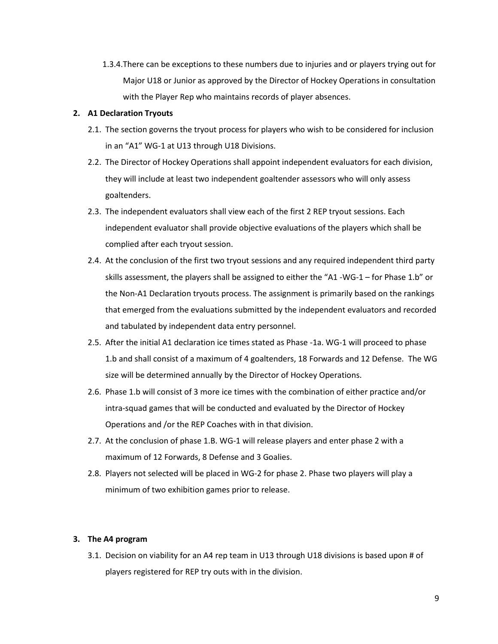1.3.4.There can be exceptions to these numbers due to injuries and or players trying out for Major U18 or Junior as approved by the Director of Hockey Operations in consultation with the Player Rep who maintains records of player absences.

#### <span id="page-8-0"></span>**2. A1 Declaration Tryouts**

- 2.1. The section governs the tryout process for players who wish to be considered for inclusion in an "A1" WG-1 at U13 through U18 Divisions.
- 2.2. The Director of Hockey Operations shall appoint independent evaluators for each division, they will include at least two independent goaltender assessors who will only assess goaltenders.
- 2.3. The independent evaluators shall view each of the first 2 REP tryout sessions. Each independent evaluator shall provide objective evaluations of the players which shall be complied after each tryout session.
- 2.4. At the conclusion of the first two tryout sessions and any required independent third party skills assessment, the players shall be assigned to either the "A1 -WG-1 – for Phase 1.b" or the Non-A1 Declaration tryouts process. The assignment is primarily based on the rankings that emerged from the evaluations submitted by the independent evaluators and recorded and tabulated by independent data entry personnel.
- 2.5. After the initial A1 declaration ice times stated as Phase -1a. WG-1 will proceed to phase 1.b and shall consist of a maximum of 4 goaltenders, 18 Forwards and 12 Defense. The WG size will be determined annually by the Director of Hockey Operations.
- 2.6. Phase 1.b will consist of 3 more ice times with the combination of either practice and/or intra-squad games that will be conducted and evaluated by the Director of Hockey Operations and /or the REP Coaches with in that division.
- 2.7. At the conclusion of phase 1.B. WG-1 will release players and enter phase 2 with a maximum of 12 Forwards, 8 Defense and 3 Goalies.
- 2.8. Players not selected will be placed in WG-2 for phase 2. Phase two players will play a minimum of two exhibition games prior to release.

#### <span id="page-8-1"></span>**3. The A4 program**

3.1. Decision on viability for an A4 rep team in U13 through U18 divisions is based upon # of players registered for REP try outs with in the division.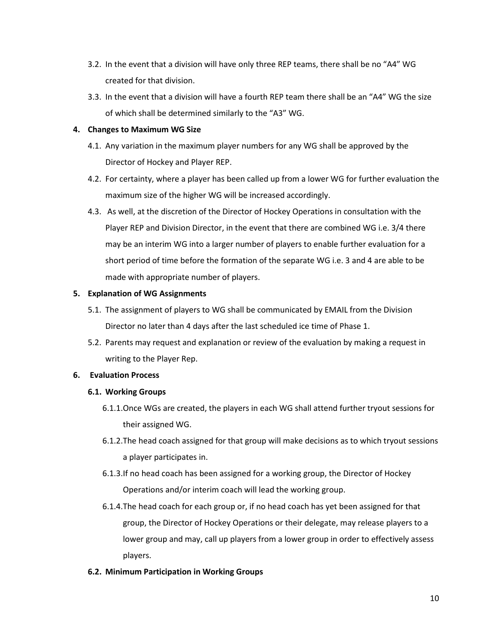- 3.2. In the event that a division will have only three REP teams, there shall be no "A4" WG created for that division.
- 3.3. In the event that a division will have a fourth REP team there shall be an "A4" WG the size of which shall be determined similarly to the "A3" WG.

#### <span id="page-9-0"></span>**4. Changes to Maximum WG Size**

- 4.1. Any variation in the maximum player numbers for any WG shall be approved by the Director of Hockey and Player REP.
- 4.2. For certainty, where a player has been called up from a lower WG for further evaluation the maximum size of the higher WG will be increased accordingly.
- 4.3. As well, at the discretion of the Director of Hockey Operations in consultation with the Player REP and Division Director, in the event that there are combined WG i.e. 3/4 there may be an interim WG into a larger number of players to enable further evaluation for a short period of time before the formation of the separate WG i.e. 3 and 4 are able to be made with appropriate number of players.

#### <span id="page-9-1"></span>**5. Explanation of WG Assignments**

- 5.1. The assignment of players to WG shall be communicated by EMAIL from the Division Director no later than 4 days after the last scheduled ice time of Phase 1.
- 5.2. Parents may request and explanation or review of the evaluation by making a request in writing to the Player Rep.

#### <span id="page-9-3"></span><span id="page-9-2"></span>**6. Evaluation Process**

#### **6.1. Working Groups**

- 6.1.1.Once WGs are created, the players in each WG shall attend further tryout sessions for their assigned WG.
- 6.1.2.The head coach assigned for that group will make decisions as to which tryout sessions a player participates in.
- 6.1.3.If no head coach has been assigned for a working group, the Director of Hockey Operations and/or interim coach will lead the working group.
- 6.1.4.The head coach for each group or, if no head coach has yet been assigned for that group, the Director of Hockey Operations or their delegate, may release players to a lower group and may, call up players from a lower group in order to effectively assess players.

#### <span id="page-9-4"></span>**6.2. Minimum Participation in Working Groups**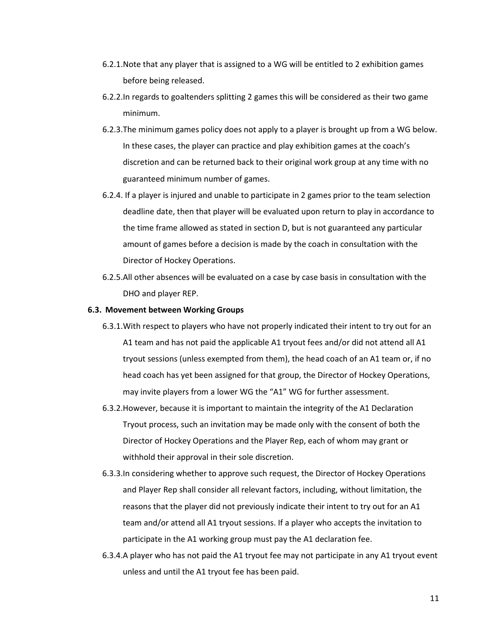- 6.2.1.Note that any player that is assigned to a WG will be entitled to 2 exhibition games before being released.
- 6.2.2.In regards to goaltenders splitting 2 games this will be considered as their two game minimum.
- 6.2.3.The minimum games policy does not apply to a player is brought up from a WG below. In these cases, the player can practice and play exhibition games at the coach's discretion and can be returned back to their original work group at any time with no guaranteed minimum number of games.
- 6.2.4. If a player is injured and unable to participate in 2 games prior to the team selection deadline date, then that player will be evaluated upon return to play in accordance to the time frame allowed as stated in section D, but is not guaranteed any particular amount of games before a decision is made by the coach in consultation with the Director of Hockey Operations.
- 6.2.5.All other absences will be evaluated on a case by case basis in consultation with the DHO and player REP.

#### <span id="page-10-0"></span>**6.3. Movement between Working Groups**

- 6.3.1.With respect to players who have not properly indicated their intent to try out for an A1 team and has not paid the applicable A1 tryout fees and/or did not attend all A1 tryout sessions (unless exempted from them), the head coach of an A1 team or, if no head coach has yet been assigned for that group, the Director of Hockey Operations, may invite players from a lower WG the "A1" WG for further assessment.
- 6.3.2.However, because it is important to maintain the integrity of the A1 Declaration Tryout process, such an invitation may be made only with the consent of both the Director of Hockey Operations and the Player Rep, each of whom may grant or withhold their approval in their sole discretion.
- 6.3.3.In considering whether to approve such request, the Director of Hockey Operations and Player Rep shall consider all relevant factors, including, without limitation, the reasons that the player did not previously indicate their intent to try out for an A1 team and/or attend all A1 tryout sessions. If a player who accepts the invitation to participate in the A1 working group must pay the A1 declaration fee.
- 6.3.4.A player who has not paid the A1 tryout fee may not participate in any A1 tryout event unless and until the A1 tryout fee has been paid.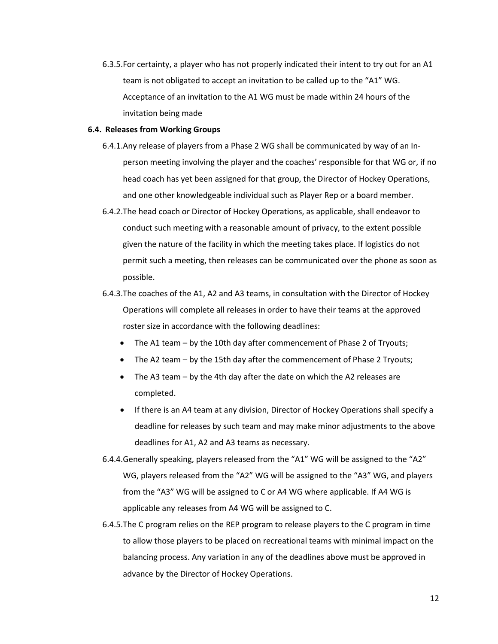6.3.5.For certainty, a player who has not properly indicated their intent to try out for an A1 team is not obligated to accept an invitation to be called up to the "A1" WG. Acceptance of an invitation to the A1 WG must be made within 24 hours of the invitation being made

#### <span id="page-11-0"></span>**6.4. Releases from Working Groups**

- 6.4.1.Any release of players from a Phase 2 WG shall be communicated by way of an Inperson meeting involving the player and the coaches' responsible for that WG or, if no head coach has yet been assigned for that group, the Director of Hockey Operations, and one other knowledgeable individual such as Player Rep or a board member.
- 6.4.2.The head coach or Director of Hockey Operations, as applicable, shall endeavor to conduct such meeting with a reasonable amount of privacy, to the extent possible given the nature of the facility in which the meeting takes place. If logistics do not permit such a meeting, then releases can be communicated over the phone as soon as possible.
- 6.4.3.The coaches of the A1, A2 and A3 teams, in consultation with the Director of Hockey Operations will complete all releases in order to have their teams at the approved roster size in accordance with the following deadlines:
	- The A1 team by the 10th day after commencement of Phase 2 of Tryouts;
	- The A2 team by the 15th day after the commencement of Phase 2 Tryouts;
	- The A3 team by the 4th day after the date on which the A2 releases are completed.
	- If there is an A4 team at any division, Director of Hockey Operations shall specify a deadline for releases by such team and may make minor adjustments to the above deadlines for A1, A2 and A3 teams as necessary.
- 6.4.4.Generally speaking, players released from the "A1" WG will be assigned to the "A2" WG, players released from the "A2" WG will be assigned to the "A3" WG, and players from the "A3" WG will be assigned to C or A4 WG where applicable. If A4 WG is applicable any releases from A4 WG will be assigned to C.
- 6.4.5.The C program relies on the REP program to release players to the C program in time to allow those players to be placed on recreational teams with minimal impact on the balancing process. Any variation in any of the deadlines above must be approved in advance by the Director of Hockey Operations.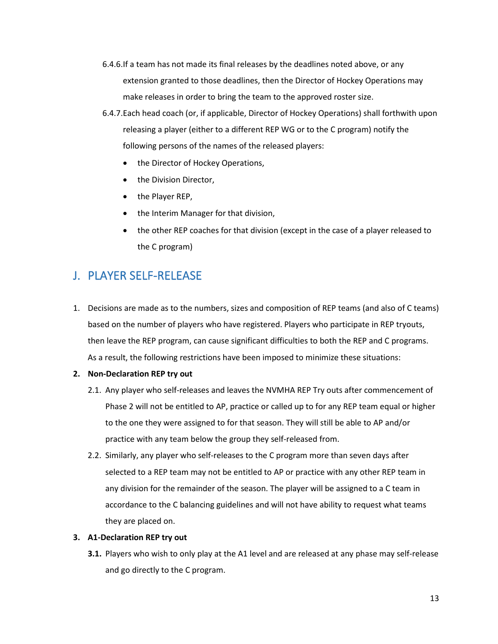- 6.4.6.If a team has not made its final releases by the deadlines noted above, or any extension granted to those deadlines, then the Director of Hockey Operations may make releases in order to bring the team to the approved roster size.
- 6.4.7.Each head coach (or, if applicable, Director of Hockey Operations) shall forthwith upon releasing a player (either to a different REP WG or to the C program) notify the following persons of the names of the released players:
	- the Director of Hockey Operations,
	- the Division Director,
	- the Player REP,
	- the Interim Manager for that division,
	- the other REP coaches for that division (except in the case of a player released to the C program)

# <span id="page-12-0"></span>J. PLAYER SELF-RELEASE

- 1. Decisions are made as to the numbers, sizes and composition of REP teams (and also of C teams) based on the number of players who have registered. Players who participate in REP tryouts, then leave the REP program, can cause significant difficulties to both the REP and C programs. As a result, the following restrictions have been imposed to minimize these situations:
- <span id="page-12-1"></span>**2. Non-Declaration REP try out**
	- 2.1. Any player who self-releases and leaves the NVMHA REP Try outs after commencement of Phase 2 will not be entitled to AP, practice or called up to for any REP team equal or higher to the one they were assigned to for that season. They will still be able to AP and/or practice with any team below the group they self-released from.
	- 2.2. Similarly, any player who self-releases to the C program more than seven days after selected to a REP team may not be entitled to AP or practice with any other REP team in any division for the remainder of the season. The player will be assigned to a C team in accordance to the C balancing guidelines and will not have ability to request what teams they are placed on.

#### <span id="page-12-2"></span>**3. A1-Declaration REP try out**

**3.1.** Players who wish to only play at the A1 level and are released at any phase may self-release and go directly to the C program.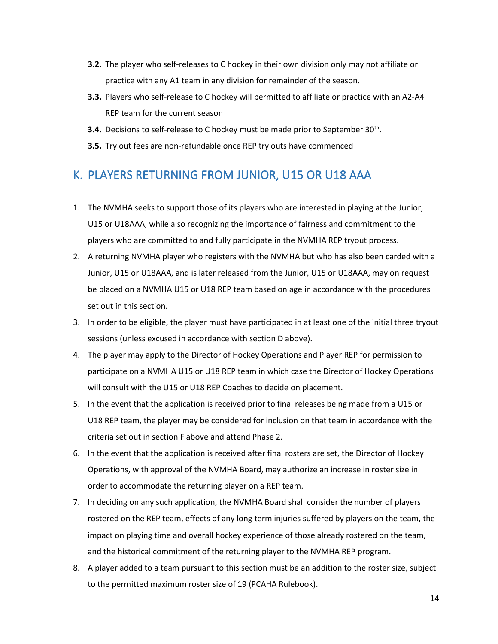- **3.2.** The player who self-releases to C hockey in their own division only may not affiliate or practice with any A1 team in any division for remainder of the season.
- **3.3.** Players who self-release to C hockey will permitted to affiliate or practice with an A2-A4 REP team for the current season
- **3.4.** Decisions to self-release to C hockey must be made prior to September 30<sup>th</sup>.
- **3.5.** Try out fees are non-refundable once REP try outs have commenced

# <span id="page-13-0"></span>K. PLAYERS RETURNING FROM JUNIOR, U15 OR U18 AAA

- 1. The NVMHA seeks to support those of its players who are interested in playing at the Junior, U15 or U18AAA, while also recognizing the importance of fairness and commitment to the players who are committed to and fully participate in the NVMHA REP tryout process.
- 2. A returning NVMHA player who registers with the NVMHA but who has also been carded with a Junior, U15 or U18AAA, and is later released from the Junior, U15 or U18AAA, may on request be placed on a NVMHA U15 or U18 REP team based on age in accordance with the procedures set out in this section.
- 3. In order to be eligible, the player must have participated in at least one of the initial three tryout sessions (unless excused in accordance with section D above).
- 4. The player may apply to the Director of Hockey Operations and Player REP for permission to participate on a NVMHA U15 or U18 REP team in which case the Director of Hockey Operations will consult with the U15 or U18 REP Coaches to decide on placement.
- 5. In the event that the application is received prior to final releases being made from a U15 or U18 REP team, the player may be considered for inclusion on that team in accordance with the criteria set out in section F above and attend Phase 2.
- 6. In the event that the application is received after final rosters are set, the Director of Hockey Operations, with approval of the NVMHA Board, may authorize an increase in roster size in order to accommodate the returning player on a REP team.
- 7. In deciding on any such application, the NVMHA Board shall consider the number of players rostered on the REP team, effects of any long term injuries suffered by players on the team, the impact on playing time and overall hockey experience of those already rostered on the team, and the historical commitment of the returning player to the NVMHA REP program.
- 8. A player added to a team pursuant to this section must be an addition to the roster size, subject to the permitted maximum roster size of 19 (PCAHA Rulebook).